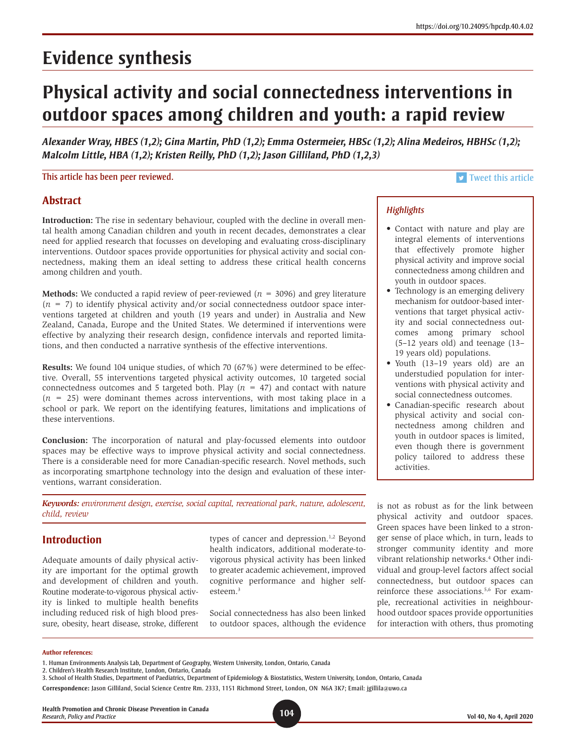# **Physical activity and social connectedness interventions in outdoor spaces among children and youth: a rapid review**

*Alexander Wray, HBES (1,2); Gina Martin, PhD (1,2); Emma Ostermeier, HBSc (1,2); Alina Medeiros, HBHSc (1,2); Malcolm Little, HBA (1,2); Kristen Reilly, PhD (1,2); Jason Gilliland, PhD (1,2,3)*

This article has been peer reviewed. This article has been peer reviewed.

# **Abstract**

**Introduction:** The rise in sedentary behaviour, coupled with the decline in overall mental health among Canadian children and youth in recent decades, demonstrates a clear need for applied research that focusses on developing and evaluating cross-disciplinary interventions. Outdoor spaces provide opportunities for physical activity and social connectedness, making them an ideal setting to address these critical health concerns among children and youth.

**Methods:** We conducted a rapid review of peer-reviewed (*n* = 3096) and grey literature  $(n = 7)$  to identify physical activity and/or social connectedness outdoor space interventions targeted at children and youth (19 years and under) in Australia and New Zealand, Canada, Europe and the United States. We determined if interventions were effective by analyzing their research design, confidence intervals and reported limitations, and then conducted a narrative synthesis of the effective interventions.

**Results:** We found 104 unique studies, of which 70 (67%) were determined to be effective. Overall, 55 interventions targeted physical activity outcomes, 10 targeted social connectedness outcomes and 5 targeted both. Play  $(n = 47)$  and contact with nature  $(n = 25)$  were dominant themes across interventions, with most taking place in a school or park. We report on the identifying features, limitations and implications of these interventions.

**Conclusion:** The incorporation of natural and play-focussed elements into outdoor spaces may be effective ways to improve physical activity and social connectedness. There is a considerable need for more Canadian-specific research. Novel methods, such as incorporating smartphone technology into the design and evaluation of these interventions, warrant consideration.

*Keywords: environment design, exercise, social capital, recreational park, nature, adolescent, child, review*

# **Introduction**

Adequate amounts of daily physical activity are important for the optimal growth and development of children and youth. Routine moderate-to-vigorous physical activity is linked to multiple health benefits including reduced risk of high blood pressure, obesity, heart disease, stroke, different types of cancer and depression.<sup>1,2</sup> Beyond health indicators, additional moderate-tovigorous physical activity has been linked to greater academic achievement, improved cognitive performance and higher selfesteem.3

Social connectedness has also been linked to outdoor spaces, although the evidence

## *Highlights*

- Contact with nature and play are integral elements of interventions that effectively promote higher physical activity and improve social connectedness among children and youth in outdoor spaces.
- Technology is an emerging delivery mechanism for outdoor-based interventions that target physical activity and social connectedness outcomes among primary school (5–12 years old) and teenage (13– 19 years old) populations.
- Youth (13–19 years old) are an understudied population for interventions with physical activity and social connectedness outcomes.
- Canadian-specific research about physical activity and social connectedness among children and youth in outdoor spaces is limited, even though there is government policy tailored to address these activities.

is not as robust as for the link between physical activity and outdoor spaces. Green spaces have been linked to a stronger sense of place which, in turn, leads to stronger community identity and more vibrant relationship networks.4 Other individual and group-level factors affect social connectedness, but outdoor spaces can reinforce these associations.5,6 For example, recreational activities in neighbourhood outdoor spaces provide opportunities for interaction with others, thus promoting

#### **Author references:**

2. Children's Health Research Institute, London, Ontario, Canada

**Health Promotion and Chronic Disease Prevention in Canada** *Research, Policy and Practice* **104 Vol 40, No 4, April 2020**

<sup>1.</sup> Human Environments Analysis Lab, Department of Geography, Western University, London, Ontario, Canada

<sup>3.</sup> School of Health Studies, Department of Paediatrics, Department of Epidemiology & Biostatistics, Western University, London, Ontario, Canada

**Correspondence:** Jason Gilliland, Social Science Centre Rm. 2333, 1151 Richmond Street, London, ON N6A 3K7; Email: jgillila@uwo.ca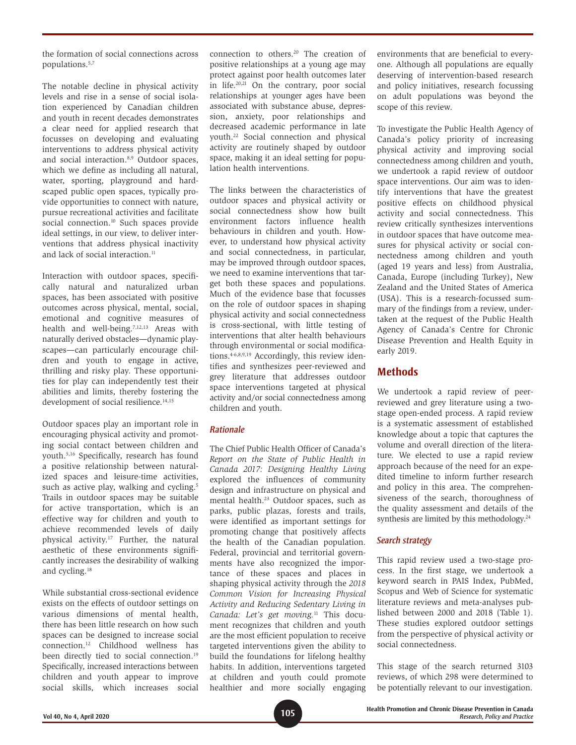the formation of social connections across populations.5,7

The notable decline in physical activity levels and rise in a sense of social isolation experienced by Canadian children and youth in recent decades demonstrates a clear need for applied research that focusses on developing and evaluating interventions to address physical activity and social interaction.<sup>8,9</sup> Outdoor spaces, which we define as including all natural, water, sporting, playground and hardscaped public open spaces, typically provide opportunities to connect with nature, pursue recreational activities and facilitate social connection.<sup>10</sup> Such spaces provide ideal settings, in our view, to deliver interventions that address physical inactivity and lack of social interaction.<sup>11</sup>

Interaction with outdoor spaces, specifically natural and naturalized urban spaces, has been associated with positive outcomes across physical, mental, social, emotional and cognitive measures of health and well-being.<sup>7,12,13</sup> Areas with naturally derived obstacles—dynamic playscapes—can particularly encourage children and youth to engage in active, thrilling and risky play. These opportunities for play can independently test their abilities and limits, thereby fostering the development of social resilience.<sup>14,15</sup>

Outdoor spaces play an important role in encouraging physical activity and promoting social contact between children and youth.5,16 Specifically, research has found a positive relationship between naturalized spaces and leisure-time activities, such as active play, walking and cycling.<sup>5</sup> Trails in outdoor spaces may be suitable for active transportation, which is an effective way for children and youth to achieve recommended levels of daily physical activity.17 Further, the natural aesthetic of these environments significantly increases the desirability of walking and cycling.18

While substantial cross-sectional evidence exists on the effects of outdoor settings on various dimensions of mental health, there has been little research on how such spaces can be designed to increase social connection.12 Childhood wellness has been directly tied to social connection.<sup>19</sup> Specifically, increased interactions between children and youth appear to improve social skills, which increases social connection to others.20 The creation of positive relationships at a young age may protect against poor health outcomes later in life.20,21 On the contrary, poor social relationships at younger ages have been associated with substance abuse, depression, anxiety, poor relationships and decreased academic performance in late youth.22 Social connection and physical activity are routinely shaped by outdoor space, making it an ideal setting for population health interventions.

The links between the characteristics of outdoor spaces and physical activity or social connectedness show how built environment factors influence health behaviours in children and youth. However, to understand how physical activity and social connectedness, in particular, may be improved through outdoor spaces, we need to examine interventions that target both these spaces and populations. Much of the evidence base that focusses on the role of outdoor spaces in shaping physical activity and social connectedness is cross-sectional, with little testing of interventions that alter health behaviours through environmental or social modifications.4-6,8,9,19 Accordingly, this review identifies and synthesizes peer-reviewed and grey literature that addresses outdoor space interventions targeted at physical activity and/or social connectedness among children and youth.

## *Rationale*

The Chief Public Health Officer of Canada's *Report on the State of Public Health in Canada 2017: Designing Healthy Living* explored the influences of community design and infrastructure on physical and mental health.23 Outdoor spaces, such as parks, public plazas, forests and trails, were identified as important settings for promoting change that positively affects the health of the Canadian population. Federal, provincial and territorial governments have also recognized the importance of these spaces and places in shaping physical activity through the *2018 Common Vision for Increasing Physical Activity and Reducing Sedentary Living in Canada: Let's get moving.*11 This document recognizes that children and youth are the most efficient population to receive targeted interventions given the ability to build the foundations for lifelong healthy habits. In addition, interventions targeted at children and youth could promote healthier and more socially engaging environments that are beneficial to everyone. Although all populations are equally deserving of intervention-based research and policy initiatives, research focussing on adult populations was beyond the scope of this review.

To investigate the Public Health Agency of Canada's policy priority of increasing physical activity and improving social connectedness among children and youth, we undertook a rapid review of outdoor space interventions. Our aim was to identify interventions that have the greatest positive effects on childhood physical activity and social connectedness. This review critically synthesizes interventions in outdoor spaces that have outcome measures for physical activity or social connectedness among children and youth (aged 19 years and less) from Australia, Canada, Europe (including Turkey), New Zealand and the United States of America (USA). This is a research-focussed summary of the findings from a review, undertaken at the request of the Public Health Agency of Canada's Centre for Chronic Disease Prevention and Health Equity in early 2019.

# **Methods**

We undertook a rapid review of peerreviewed and grey literature using a twostage open-ended process. A rapid review is a systematic assessment of established knowledge about a topic that captures the volume and overall direction of the literature. We elected to use a rapid review approach because of the need for an expedited timeline to inform further research and policy in this area. The comprehensiveness of the search, thoroughness of the quality assessment and details of the synthesis are limited by this methodology.<sup>24</sup>

## *Search strategy*

This rapid review used a two-stage process. In the first stage, we undertook a keyword search in PAIS Index, PubMed, Scopus and Web of Science for systematic literature reviews and meta-analyses published between 2000 and 2018 (Table 1). These studies explored outdoor settings from the perspective of physical activity or social connectedness.

This stage of the search returned 3103 reviews, of which 298 were determined to be potentially relevant to our investigation.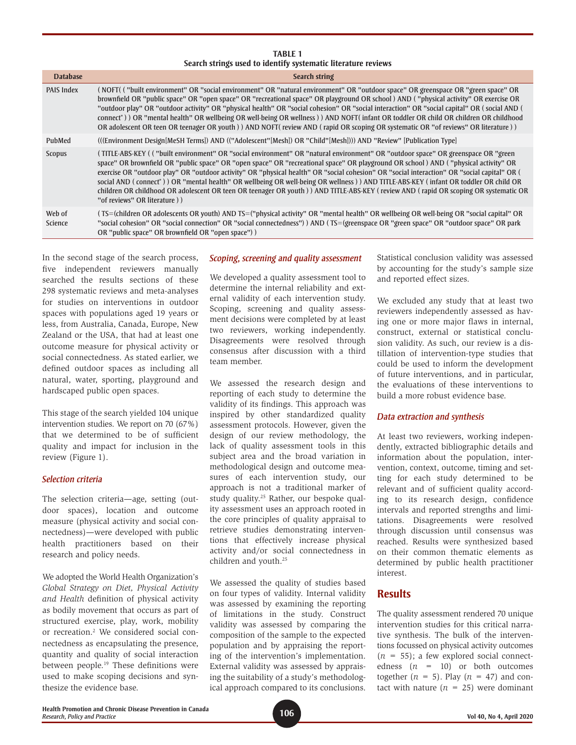#### **TABLE 1 Search strings used to identify systematic literature reviews**

| <b>Database</b>   | <b>Search string</b>                                                                                                                                                                                                                                                                                                                                                                                                                                                                                                                                                                                                                                                                                                                            |
|-------------------|-------------------------------------------------------------------------------------------------------------------------------------------------------------------------------------------------------------------------------------------------------------------------------------------------------------------------------------------------------------------------------------------------------------------------------------------------------------------------------------------------------------------------------------------------------------------------------------------------------------------------------------------------------------------------------------------------------------------------------------------------|
| <b>PAIS Index</b> | (NOFT) ("built environment" OR "social environment" OR "natural environment" OR "outdoor space" OR greenspace OR "green space" OR<br>brownfield OR "public space" OR "open space" OR "recreational space" OR playground OR school) AND ("physical activity" OR exercise OR<br>"outdoor play" OR "outdoor activity" OR "physical health" OR "social cohesion" OR "social interaction" OR "social capital" OR (social AND)<br>connect <sup>*</sup> )) OR "mental health" OR wellbeing OR well-being OR wellness)) AND NOFT(infant OR toddler OR child OR children OR childhood<br>OR adolescent OR teen OR teenager OR youth) AND NOFT(review AND (rapid OR scoping OR systematic OR "of reviews" OR literature))                                 |
| PubMed            | (((Environment Design[MeSH Terms]) AND (("Adolescent"[Mesh]) OR "Child"[Mesh]))) AND "Review" [Publication Type]                                                                                                                                                                                                                                                                                                                                                                                                                                                                                                                                                                                                                                |
| Scopus            | (TITLE-ABS-KEY (("built environment" OR "social environment" OR "natural environment" OR "outdoor space" OR greenspace OR "green<br>space" OR brownfield OR "public space" OR "open space" OR "recreational space" OR playground OR school) AND ("physical activity" OR<br>exercise OR "outdoor play" OR "outdoor activity" OR "physical health" OR "social cohesion" OR "social interaction" OR "social capital" OR (<br>social AND (connect <sup>*</sup> )) OR "mental health" OR wellbeing OR well-being OR wellness) AND TITLE-ABS-KEY (infant OR toddler OR child OR<br>children OR childhood OR adolescent OR teen OR teenager OR youth) AND TITLE-ABS-KEY (review AND (rapid OR scoping OR systematic OR<br>"of reviews" OR literature)) |
| Web of<br>Science | (TS=(children OR adolescents OR youth) AND TS=("physical activity" OR "mental health" OR wellbeing OR well-being OR "social capital" OR<br>"social cohesion" OR "social connection" OR "social connectedness") AND (TS=(greenspace OR "green space" OR "outdoor space" OR park<br>OR "public space" OR brownfield OR "open space") )                                                                                                                                                                                                                                                                                                                                                                                                            |

In the second stage of the search process, five independent reviewers manually searched the results sections of these 298 systematic reviews and meta-analyses for studies on interventions in outdoor spaces with populations aged 19 years or less, from Australia, Canada, Europe, New Zealand or the USA, that had at least one outcome measure for physical activity or social connectedness. As stated earlier, we defined outdoor spaces as including all natural, water, sporting, playground and hardscaped public open spaces.

This stage of the search yielded 104 unique intervention studies. We report on 70 (67%) that we determined to be of sufficient quality and impact for inclusion in the review (Figure 1).

#### *Selection criteria*

The selection criteria—age, setting (outdoor spaces), location and outcome measure (physical activity and social connectedness)—were developed with public health practitioners based on their research and policy needs.

We adopted the World Health Organization's *Global Strategy on Diet, Physical Activity and Health* definition of physical activity as bodily movement that occurs as part of structured exercise, play, work, mobility or recreation.2 We considered social connectedness as encapsulating the presence, quantity and quality of social interaction between people.<sup>19</sup> These definitions were used to make scoping decisions and synthesize the evidence base.

## *Scoping, screening and quality assessment*

We developed a quality assessment tool to determine the internal reliability and external validity of each intervention study. Scoping, screening and quality assessment decisions were completed by at least two reviewers, working independently. Disagreements were resolved through consensus after discussion with a third team member.

We assessed the research design and reporting of each study to determine the validity of its findings. This approach was inspired by other standardized quality assessment protocols. However, given the design of our review methodology, the lack of quality assessment tools in this subject area and the broad variation in methodological design and outcome measures of each intervention study, our approach is not a traditional marker of study quality.25 Rather, our bespoke quality assessment uses an approach rooted in the core principles of quality appraisal to retrieve studies demonstrating interventions that effectively increase physical activity and/or social connectedness in children and youth.25

We assessed the quality of studies based on four types of validity. Internal validity was assessed by examining the reporting of limitations in the study. Construct validity was assessed by comparing the composition of the sample to the expected population and by appraising the reporting of the intervention's implementation. External validity was assessed by appraising the suitability of a study's methodological approach compared to its conclusions. Statistical conclusion validity was assessed by accounting for the study's sample size and reported effect sizes.

We excluded any study that at least two reviewers independently assessed as having one or more major flaws in internal, construct, external or statistical conclusion validity. As such, our review is a distillation of intervention-type studies that could be used to inform the development of future interventions, and in particular, the evaluations of these interventions to build a more robust evidence base.

## *Data extraction and synthesis*

At least two reviewers, working independently, extracted bibliographic details and information about the population, intervention, context, outcome, timing and setting for each study determined to be relevant and of sufficient quality according to its research design, confidence intervals and reported strengths and limitations. Disagreements were resolved through discussion until consensus was reached. Results were synthesized based on their common thematic elements as determined by public health practitioner interest.

## **Results**

The quality assessment rendered 70 unique intervention studies for this critical narrative synthesis. The bulk of the interventions focussed on physical activity outcomes  $(n = 55)$ ; a few explored social connectedness  $(n = 10)$  or both outcomes together  $(n = 5)$ . Play  $(n = 47)$  and contact with nature  $(n = 25)$  were dominant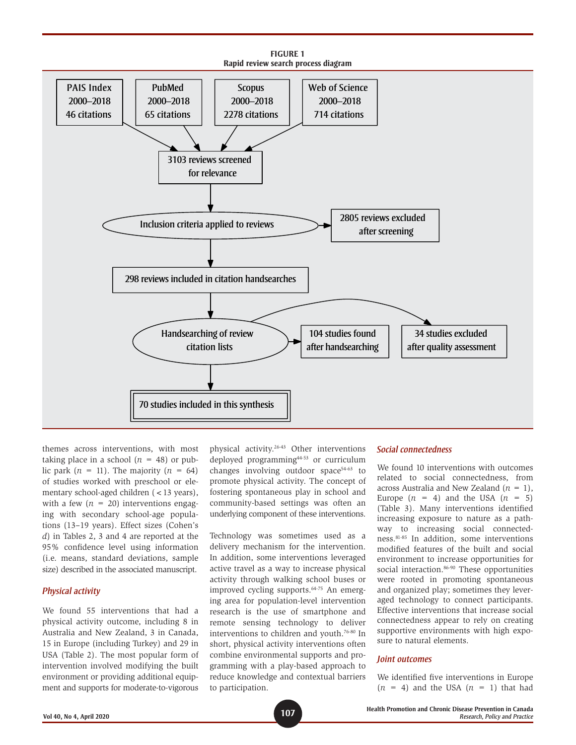

themes across interventions, with most taking place in a school  $(n = 48)$  or public park  $(n = 11)$ . The majority  $(n = 64)$ of studies worked with preschool or elementary school-aged children (<13 years), with a few  $(n = 20)$  interventions engaging with secondary school-age populations (13–19 years). Effect sizes (Cohen's *d*) in Tables 2, 3 and 4 are reported at the 95% confidence level using information (i.e. means, standard deviations, sample size) described in the associated manuscript.

#### *Physical activity*

We found 55 interventions that had a physical activity outcome, including 8 in Australia and New Zealand, 3 in Canada, 15 in Europe (including Turkey) and 29 in USA (Table 2). The most popular form of intervention involved modifying the built environment or providing additional equipment and supports for moderate-to-vigorous

physical activity.26-43 Other interventions deployed programming44-53 or curriculum changes involving outdoor space<sup>54-63</sup> to promote physical activity. The concept of fostering spontaneous play in school and community-based settings was often an underlying component of these interventions.

Technology was sometimes used as a delivery mechanism for the intervention. In addition, some interventions leveraged active travel as a way to increase physical activity through walking school buses or improved cycling supports.64-75 An emerging area for population-level intervention research is the use of smartphone and remote sensing technology to deliver interventions to children and youth.76-80 In short, physical activity interventions often combine environmental supports and programming with a play-based approach to reduce knowledge and contextual barriers to participation.

#### *Social connectedness*

We found 10 interventions with outcomes related to social connectedness, from across Australia and New Zealand (*n* = 1), Europe  $(n = 4)$  and the USA  $(n = 5)$ (Table 3). Many interventions identified increasing exposure to nature as a pathway to increasing social connectedness.81-85 In addition, some interventions modified features of the built and social environment to increase opportunities for social interaction.<sup>86-90</sup> These opportunities were rooted in promoting spontaneous and organized play; sometimes they leveraged technology to connect participants. Effective interventions that increase social connectedness appear to rely on creating supportive environments with high exposure to natural elements.

#### *Joint outcomes*

We identified five interventions in Europe  $(n = 4)$  and the USA  $(n = 1)$  that had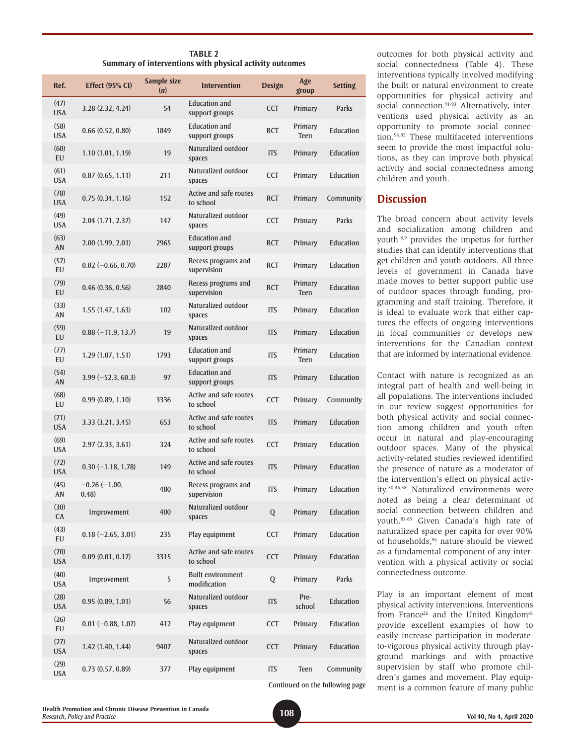| <b>TABLE 2</b>                                           |  |
|----------------------------------------------------------|--|
| Summary of interventions with physical activity outcomes |  |

| Ref.               | <b>Effect (95% CI)</b>   | Sample size<br>(n) | <b>Intervention</b>                      | <b>Design</b> | Age<br>group           | <b>Setting</b>                  |
|--------------------|--------------------------|--------------------|------------------------------------------|---------------|------------------------|---------------------------------|
| (47)<br><b>USA</b> | 3.28 (2.32, 4.24)        | 54                 | <b>Education and</b><br>support groups   | <b>CCT</b>    | Primary                | Parks                           |
| (58)<br><b>USA</b> | 0.66(0.52, 0.80)         | 1849               | <b>Education and</b><br>support groups   | <b>RCT</b>    | Primary<br>Teen        | Education                       |
| (60)<br>EU         | 1.10(1.01, 1.19)         | 19                 | Naturalized outdoor<br>spaces            | <b>ITS</b>    | Primary                | Education                       |
| (61)<br><b>USA</b> | 0.87(0.65, 1.11)         | 211                | Naturalized outdoor<br>spaces            | <b>CCT</b>    | Primary                | <b>Education</b>                |
| (78)<br><b>USA</b> | 0.75(0.34, 1.16)         | 152                | Active and safe routes<br>to school      | <b>RCT</b>    | Primary                | Community                       |
| (49)<br><b>USA</b> | 2.04(1.71, 2.37)         | 147                | Naturalized outdoor<br>spaces            | <b>CCT</b>    | Primary                | Parks                           |
| (63)<br>AN         | 2.00(1.99, 2.01)         | 2965               | <b>Education and</b><br>support groups   | <b>RCT</b>    | Primary                | Education                       |
| (57)<br>EU         | $0.02 (-0.66, 0.70)$     | 2287               | Recess programs and<br>supervision       | <b>RCT</b>    | Primary                | Education                       |
| (79)<br>EU         | 0.46(0.36, 0.56)         | 2840               | Recess programs and<br>supervision       | <b>RCT</b>    | Primary<br>Teen        | <b>Education</b>                |
| (33)<br>AN         | 1.55(1.47, 1.63)         | 102                | Naturalized outdoor<br>spaces            | <b>ITS</b>    | Primary                | Education                       |
| (59)<br>EU         | $0.88(-11.9, 13.7)$      | 19                 | Naturalized outdoor<br>spaces            | <b>ITS</b>    | Primary                | Education                       |
| (77)<br>EU         | 1.29(1.07, 1.51)         | 1793               | <b>Education and</b><br>support groups   | <b>ITS</b>    | Primary<br><b>Teen</b> | Education                       |
| (54)<br>AN         | $3.99(-52.3, 60.3)$      | 97                 | <b>Education and</b><br>support groups   | <b>ITS</b>    | Primary                | <b>Education</b>                |
| (68)<br>EU         | 0.99(0.89, 1.10)         | 3336               | Active and safe routes<br>to school      | <b>CCT</b>    | Primary                | Community                       |
| (71)<br><b>USA</b> | 3.33(3.21, 3.45)         | 653                | Active and safe routes<br>to school      | <b>ITS</b>    | Primary                | <b>Education</b>                |
| (69)<br><b>USA</b> | 2.97(2.33, 3.61)         | 324                | Active and safe routes<br>to school      | <b>CCT</b>    | Primary                | Education                       |
| (72)<br><b>USA</b> | $0.30 (-1.18, 1.78)$     | 149                | Active and safe routes<br>to school      | <b>ITS</b>    | Primary                | Education                       |
| (45)<br>AN         | $-0.26(-1.00,$<br>(0.48) | 480                | Recess programs and<br>supervision       | <b>ITS</b>    | Primary                | Education                       |
| (30)<br>CA         | Improvement              | 400                | Naturalized outdoor<br>spaces            | Q             | Primary                | Education                       |
| (43)<br>EU         | $0.18 (-2.65, 3.01)$     | 235                | Play equipment                           | <b>CCT</b>    | Primary                | Education                       |
| (70)<br><b>USA</b> | 0.09(0.01, 0.17)         | 3315               | Active and safe routes<br>to school      | <b>CCT</b>    | Primary                | Education                       |
| (40)<br><b>USA</b> | Improvement              | 5                  | <b>Built environment</b><br>modification | Q             | Primary                | Parks                           |
| (28)<br><b>USA</b> | 0.95(0.89, 1.01)         | 56                 | Naturalized outdoor<br>spaces            | <b>ITS</b>    | Pre-<br>school         | Education                       |
| (26)<br>EU         | $0.01 (-0.88, 1.07)$     | 412                | Play equipment                           | <b>CCT</b>    | Primary                | Education                       |
| (27)<br><b>USA</b> | 1.42(1.40, 1.44)         | 9407               | Naturalized outdoor<br>spaces            | <b>CCT</b>    | Primary                | Education                       |
| (29)<br><b>USA</b> | 0.73(0.57, 0.89)         | 377                | Play equipment                           | <b>ITS</b>    | Teen                   | Community                       |
|                    |                          |                    |                                          |               |                        | Continued on the following page |

outcomes for both physical activity and social connectedness (Table 4). These interventions typically involved modifying the built or natural environment to create opportunities for physical activity and social connection.<sup>91-93</sup> Alternatively, interventions used physical activity as an opportunity to promote social connection.94,95 These multifaceted interventions seem to provide the most impactful solutions, as they can improve both physical activity and social connectedness among children and youth.

## **Discussion**

The broad concern about activity levels and socialization among children and youth 8,9 provides the impetus for further studies that can identify interventions that get children and youth outdoors. All three levels of government in Canada have made moves to better support public use of outdoor spaces through funding, programming and staff training. Therefore, it is ideal to evaluate work that either captures the effects of ongoing interventions in local communities or develops new interventions for the Canadian context that are informed by international evidence.

Contact with nature is recognized as an integral part of health and well-being in all populations. The interventions included in our review suggest opportunities for both physical activity and social connection among children and youth often occur in natural and play-encouraging outdoor spaces. Many of the physical activity-related studies reviewed identified the presence of nature as a moderator of the intervention's effect on physical activity.30,36,38 Naturalized environments were noted as being a clear determinant of social connection between children and youth.81-85 Given Canada's high rate of naturalized space per capita for over 90% of households,96 nature should be viewed as a fundamental component of any intervention with a physical activity or social connectedness outcome.

Play is an important element of most physical activity interventions. Interventions from France<sup>26</sup> and the United Kingdom<sup>41</sup> provide excellent examples of how to easily increase participation in moderateto-vigorous physical activity through playground markings and with proactive supervision by staff who promote children's games and movement. Play equipment is a common feature of many public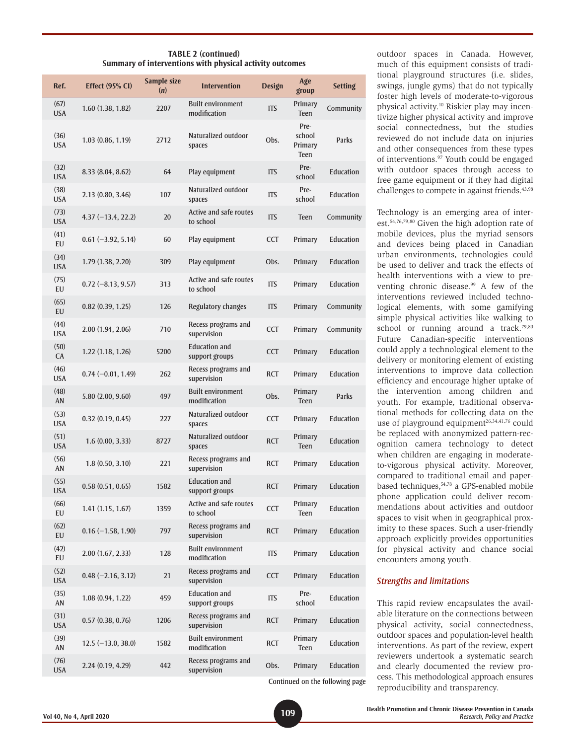| <b>TABLE 2 (continued)</b>                               |  |
|----------------------------------------------------------|--|
| Summary of interventions with physical activity outcomes |  |

| Ref.               | <b>Effect (95% CI)</b> | Sample size<br>(n) | <b>Intervention</b>                      | Design     | Age<br>group                             | <b>Setting</b>                  |
|--------------------|------------------------|--------------------|------------------------------------------|------------|------------------------------------------|---------------------------------|
| (67)<br><b>USA</b> | 1.60(1.38, 1.82)       | 2207               | <b>Built environment</b><br>modification | <b>ITS</b> | Primary<br>Teen                          | Community                       |
| (36)<br><b>USA</b> | 1.03(0.86, 1.19)       | 2712               | Naturalized outdoor<br>spaces            | Obs.       | Pre-<br>school<br>Primary<br><b>Teen</b> | Parks                           |
| (32)<br><b>USA</b> | 8.33(8.04, 8.62)       | 64                 | Play equipment                           | <b>ITS</b> | Pre-<br>school                           | Education                       |
| (38)<br><b>USA</b> | 2.13(0.80, 3.46)       | 107                | Naturalized outdoor<br>spaces            | <b>ITS</b> | Pre-<br>school                           | Education                       |
| (73)<br><b>USA</b> | $4.37(-13.4, 22.2)$    | 20                 | Active and safe routes<br>to school      | <b>ITS</b> | <b>Teen</b>                              | Community                       |
| (41)<br>EU         | $0.61 (-3.92, 5.14)$   | 60                 | Play equipment                           | <b>CCT</b> | Primary                                  | Education                       |
| (34)<br><b>USA</b> | 1.79 (1.38, 2.20)      | 309                | Play equipment                           | Obs.       | Primary                                  | Education                       |
| (75)<br>EU         | $0.72 (-8.13, 9.57)$   | 313                | Active and safe routes<br>to school      | <b>ITS</b> | Primary                                  | Education                       |
| (65)<br>EU         | 0.82(0.39, 1.25)       | 126                | Regulatory changes                       | <b>ITS</b> | Primary                                  | Community                       |
| (44)<br><b>USA</b> | 2.00(1.94, 2.06)       | 710                | Recess programs and<br>supervision       | <b>CCT</b> | Primary                                  | Community                       |
| (50)<br>CA         | 1.22(1.18, 1.26)       | 5200               | <b>Education and</b><br>support groups   | <b>CCT</b> | Primary                                  | Education                       |
| (46)<br><b>USA</b> | $0.74 (-0.01, 1.49)$   | 262                | Recess programs and<br>supervision       | <b>RCT</b> | Primary                                  | Education                       |
| (48)<br>AN         | 5.80(2.00, 9.60)       | 497                | <b>Built environment</b><br>modification | Obs.       | Primary<br><b>Teen</b>                   | Parks                           |
| (53)<br><b>USA</b> | 0.32(0.19, 0.45)       | 227                | Naturalized outdoor<br>spaces            | <b>CCT</b> | Primary                                  | Education                       |
| (51)<br><b>USA</b> | 1.6(0.00, 3.33)        | 8727               | Naturalized outdoor<br>spaces            | <b>RCT</b> | Primary<br><b>Teen</b>                   | Education                       |
| (56)<br>AN         | 1.8(0.50, 3.10)        | 221                | Recess programs and<br>supervision       | <b>RCT</b> | Primary                                  | Education                       |
| (55)<br><b>USA</b> | 0.58(0.51, 0.65)       | 1582               | <b>Education and</b><br>support groups   | <b>RCT</b> | Primary                                  | Education                       |
| (66)<br><b>EU</b>  | 1.41(1.15, 1.67)       | 1359               | Active and safe routes<br>to school      | <b>CCT</b> | Primary<br>Teen                          | Education                       |
| (62)<br>EU         | $0.16 (-1.58, 1.90)$   | 797                | Recess programs and<br>supervision       | <b>RCT</b> | Primary                                  | Education                       |
| (42)<br>EU         | 2.00(1.67, 2.33)       | 128                | <b>Built environment</b><br>modification | <b>ITS</b> | Primary                                  | Education                       |
| (52)<br><b>USA</b> | $0.48 (-2.16, 3.12)$   | 21                 | Recess programs and<br>supervision       | <b>CCT</b> | Primary                                  | Education                       |
| (35)<br>AN         | 1.08(0.94, 1.22)       | 459                | <b>Education and</b><br>support groups   | ITS        | Pre-<br>school                           | Education                       |
| (31)<br><b>USA</b> | 0.57(0.38, 0.76)       | 1206               | Recess programs and<br>supervision       | RCT        | Primary                                  | Education                       |
| (39)<br>AN         | $12.5(-13.0, 38.0)$    | 1582               | <b>Built environment</b><br>modification | <b>RCT</b> | Primary<br>Teen                          | Education                       |
| (76)<br><b>USA</b> | 2.24(0.19, 4.29)       | 442                | Recess programs and<br>supervision       | Obs.       | Primary                                  | Education                       |
|                    |                        |                    |                                          |            |                                          | Continued on the following page |

outdoor spaces in Canada. However, much of this equipment consists of traditional playground structures (i.e. slides, swings, jungle gyms) that do not typically foster high levels of moderate-to-vigorous physical activity.10 Riskier play may incentivize higher physical activity and improve social connectedness, but the studies reviewed do not include data on injuries and other consequences from these types of interventions.97 Youth could be engaged with outdoor spaces through access to free game equipment or if they had digital challenges to compete in against friends.<sup>43,98</sup>

Technology is an emerging area of interest.54,76,79,80 Given the high adoption rate of mobile devices, plus the myriad sensors and devices being placed in Canadian urban environments, technologies could be used to deliver and track the effects of health interventions with a view to preventing chronic disease.99 A few of the interventions reviewed included technological elements, with some gamifying simple physical activities like walking to school or running around a track.<sup>79,80</sup> Future Canadian-specific interventions could apply a technological element to the delivery or monitoring element of existing interventions to improve data collection efficiency and encourage higher uptake of the intervention among children and youth. For example, traditional observational methods for collecting data on the use of playground equipment<sup>26,34,41,76</sup> could be replaced with anonymized pattern-recognition camera technology to detect when children are engaging in moderateto-vigorous physical activity. Moreover, compared to traditional email and paperbased techniques,<sup>54,78</sup> a GPS-enabled mobile phone application could deliver recommendations about activities and outdoor spaces to visit when in geographical proximity to these spaces. Such a user-friendly approach explicitly provides opportunities for physical activity and chance social encounters among youth.

#### *Strengths and limitations*

This rapid review encapsulates the available literature on the connections between physical activity, social connectedness, outdoor spaces and population-level health interventions. As part of the review, expert reviewers undertook a systematic search and clearly documented the review process. This methodological approach ensures reproducibility and transparency.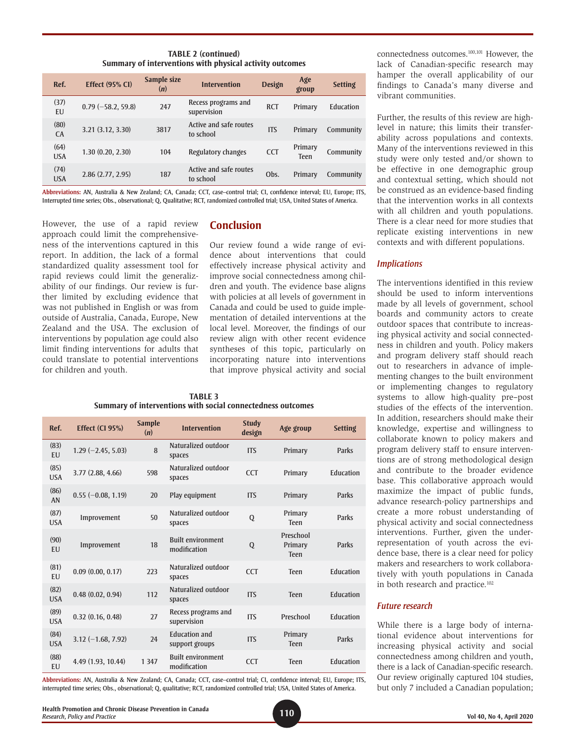**TABLE 2 (continued) Summary of interventions with physical activity outcomes**

| Ref.               | <b>Effect (95% CI)</b> | Sample size<br>(n) | <b>Intervention</b>                 | <b>Design</b> | Age<br>group           | <b>Setting</b> |
|--------------------|------------------------|--------------------|-------------------------------------|---------------|------------------------|----------------|
| (37)<br>EU         | $0.79(-58.2, 59.8)$    | 247                | Recess programs and<br>supervision  | <b>RCT</b>    | Primary                | Education      |
| (80)<br><b>CA</b>  | 3.21(3.12, 3.30)       | 3817               | Active and safe routes<br>to school | <b>ITS</b>    | Primary                | Community      |
| (64)<br><b>USA</b> | 1.30(0.20, 2.30)       | 104                | Regulatory changes                  | <b>CCT</b>    | Primary<br><b>Teen</b> | Community      |
| (74)<br><b>USA</b> | 2.86(2.77, 2.95)       | 187                | Active and safe routes<br>to school | Obs.          | Primary                | Community      |

**Abbreviations:** AN, Australia & New Zealand; CA, Canada; CCT, case–control trial; CI, confidence interval; EU, Europe; ITS, Interrupted time series; Obs., observational; Q, Qualitative; RCT, randomized controlled trial; USA, United States of America.

However, the use of a rapid review approach could limit the comprehensiveness of the interventions captured in this report. In addition, the lack of a formal standardized quality assessment tool for rapid reviews could limit the generalizability of our findings. Our review is further limited by excluding evidence that was not published in English or was from outside of Australia, Canada, Europe, New Zealand and the USA. The exclusion of interventions by population age could also limit finding interventions for adults that could translate to potential interventions for children and youth.

# **Conclusion**

Our review found a wide range of evidence about interventions that could effectively increase physical activity and improve social connectedness among children and youth. The evidence base aligns with policies at all levels of government in Canada and could be used to guide implementation of detailed interventions at the local level. Moreover, the findings of our review align with other recent evidence syntheses of this topic, particularly on incorporating nature into interventions that improve physical activity and social

**TABLE 3 Summary of interventions with social connectedness outcomes**

| Ref.               | Effect (CI 95%)      | <b>Sample</b><br>(n) | <b>Intervention</b>                      | <b>Study</b><br>design | Age group                           | <b>Setting</b> |
|--------------------|----------------------|----------------------|------------------------------------------|------------------------|-------------------------------------|----------------|
| (83)<br>EU         | $1.29(-2.45, 5.03)$  | 8                    | Naturalized outdoor<br>spaces            | <b>ITS</b>             | Primary                             | Parks          |
| (85)<br><b>USA</b> | 3.77(2.88, 4.66)     | 598                  | Naturalized outdoor<br>spaces            | <b>CCT</b>             | Primary                             | Education      |
| (86)<br>AN         | $0.55 (-0.08, 1.19)$ | 20                   | Play equipment                           | <b>ITS</b>             | Primary                             | Parks          |
| (87)<br><b>USA</b> | Improvement          | 50                   | Naturalized outdoor<br>spaces            | Q                      | Primary<br><b>Teen</b>              | Parks          |
| (90)<br>EU         | Improvement          | 18                   | <b>Built environment</b><br>modification | Q                      | Preschool<br>Primary<br><b>Teen</b> | Parks          |
| (81)<br>EU         | 0.09(0.00, 0.17)     | 223                  | Naturalized outdoor<br>spaces            | <b>CCT</b>             | <b>Teen</b>                         | Education      |
| (82)<br><b>USA</b> | 0.48(0.02, 0.94)     | 112                  | Naturalized outdoor<br>spaces            | <b>ITS</b>             | <b>Teen</b>                         | Education      |
| (89)<br><b>USA</b> | 0.32(0.16, 0.48)     | 27                   | Recess programs and<br>supervision       | <b>ITS</b>             | Preschool                           | Education      |
| (84)<br><b>USA</b> | $3.12 (-1.68, 7.92)$ | 74                   | <b>Education and</b><br>support groups   | <b>ITS</b>             | Primary<br><b>Teen</b>              | Parks          |
| (88)<br>EU         | 4.49 (1.93, 10.44)   | 1 3 4 7              | <b>Built environment</b><br>modification | <b>CCT</b>             | <b>Teen</b>                         | Education      |

**Abbreviations:** AN, Australia & New Zealand; CA, Canada; CCT, case–control trial; CI, confidence interval; EU, Europe; ITS, interrupted time series; Obs., observational; Q, qualitative; RCT, randomized controlled trial; USA, United States of America.

connectedness outcomes.100,101 However, the lack of Canadian-specific research may hamper the overall applicability of our findings to Canada's many diverse and vibrant communities.

Further, the results of this review are highlevel in nature; this limits their transferability across populations and contexts. Many of the interventions reviewed in this study were only tested and/or shown to be effective in one demographic group and contextual setting, which should not be construed as an evidence-based finding that the intervention works in all contexts with all children and youth populations. There is a clear need for more studies that replicate existing interventions in new contexts and with different populations.

### *Implications*

The interventions identified in this review should be used to inform interventions made by all levels of government, school boards and community actors to create outdoor spaces that contribute to increasing physical activity and social connectedness in children and youth. Policy makers and program delivery staff should reach out to researchers in advance of implementing changes to the built environment or implementing changes to regulatory systems to allow high-quality pre–post studies of the effects of the intervention. In addition, researchers should make their knowledge, expertise and willingness to collaborate known to policy makers and program delivery staff to ensure interventions are of strong methodological design and contribute to the broader evidence base. This collaborative approach would maximize the impact of public funds, advance research-policy partnerships and create a more robust understanding of physical activity and social connectedness interventions. Further, given the underrepresentation of youth across the evidence base, there is a clear need for policy makers and researchers to work collaboratively with youth populations in Canada in both research and practice.<sup>102</sup>

## *Future research*

While there is a large body of international evidence about interventions for increasing physical activity and social connectedness among children and youth, there is a lack of Canadian-specific research. Our review originally captured 104 studies, but only 7 included a Canadian population;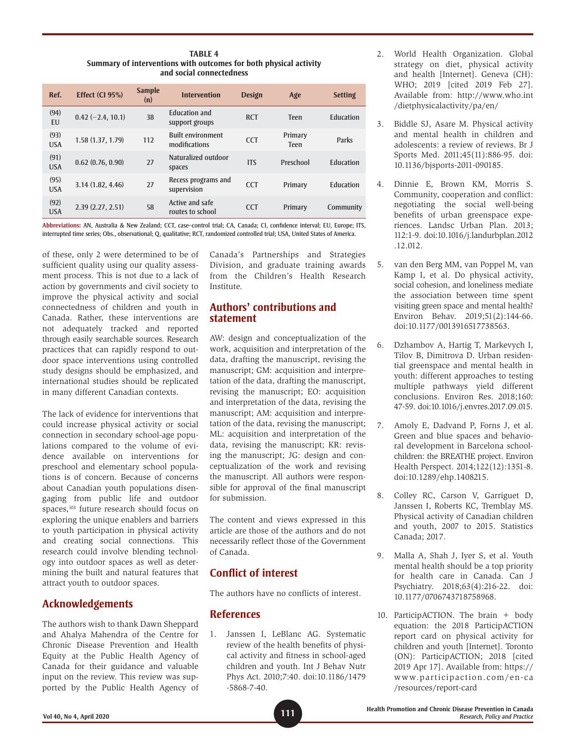**TABLE 4 Summary of interventions with outcomes for both physical activity and social connectedness**

| Ref.               | Effect (CI 95%)     | <b>Sample</b><br>(n) | <b>Intervention</b>                       | Design     | Age                    | <b>Setting</b> |
|--------------------|---------------------|----------------------|-------------------------------------------|------------|------------------------|----------------|
| (94)<br>EU         | $0.42 (-2.4, 10.1)$ | 38                   | <b>Education and</b><br>support groups    | <b>RCT</b> | <b>Teen</b>            | Education      |
| (93)<br><b>USA</b> | 1.58(1.37, 1.79)    | 112                  | <b>Built environment</b><br>modifications | <b>CCT</b> | Primary<br><b>Teen</b> | Parks          |
| (91)<br><b>USA</b> | 0.62(0.76, 0.90)    | 27                   | Naturalized outdoor<br>spaces             | <b>ITS</b> | Preschool              | Education      |
| (95)<br><b>USA</b> | 3.14(1.82, 4.46)    | 27                   | Recess programs and<br>supervision        | <b>CCT</b> | Primary                | Education      |
| (92)<br><b>USA</b> | 2.39(2.27, 2.51)    | 58                   | Active and safe<br>routes to school       | <b>CCT</b> | Primary                | Community      |

**Abbreviations:** AN, Australia & New Zealand; CCT, case–control trial; CA, Canada; CI, confidence interval; EU, Europe; ITS, interrupted time series; Obs., observational; Q, qualitative; RCT, randomized controlled trial; USA, United States of America.

of these, only 2 were determined to be of sufficient quality using our quality assessment process. This is not due to a lack of action by governments and civil society to improve the physical activity and social connectedness of children and youth in Canada. Rather, these interventions are not adequately tracked and reported through easily searchable sources. Research practices that can rapidly respond to outdoor space interventions using controlled study designs should be emphasized, and international studies should be replicated in many different Canadian contexts.

The lack of evidence for interventions that could increase physical activity or social connection in secondary school-age populations compared to the volume of evidence available on interventions for preschool and elementary school populations is of concern. Because of concerns about Canadian youth populations disengaging from public life and outdoor spaces,<sup>103</sup> future research should focus on exploring the unique enablers and barriers to youth participation in physical activity and creating social connections. This research could involve blending technology into outdoor spaces as well as determining the built and natural features that attract youth to outdoor spaces.

# **Acknowledgements**

The authors wish to thank Dawn Sheppard and Ahalya Mahendra of the Centre for Chronic Disease Prevention and Health Equity at the Public Health Agency of Canada for their guidance and valuable input on the review. This review was supported by the Public Health Agency of Canada's Partnerships and Strategies Division, and graduate training awards from the Children's Health Research Institute.

# **Authors' contributions and statement**

AW: design and conceptualization of the work, acquisition and interpretation of the data, drafting the manuscript, revising the manuscript; GM: acquisition and interpretation of the data, drafting the manuscript, revising the manuscript; EO: acquisition and interpretation of the data, revising the manuscript; AM: acquisition and interpretation of the data, revising the manuscript; ML: acquisition and interpretation of the data, revising the manuscript; KR: revising the manuscript; JG: design and conceptualization of the work and revising the manuscript. All authors were responsible for approval of the final manuscript for submission.

The content and views expressed in this article are those of the authors and do not necessarily reflect those of the Government of Canada.

# **Conflict of interest**

The authors have no conflicts of interest.

# **References**

1. Janssen I, LeBlanc AG. Systematic review of the health benefits of physical activity and fitness in school-aged children and youth. Int J Behav Nutr Phys Act. 2010;7:40. doi:10.1186/1479 -5868-7-40.

- 2. World Health Organization. Global strategy on diet, physical activity and health [Internet]. Geneva (CH): WHO; 2019 [cited 2019 Feb 27]. Available from: http://www.who.int /dietphysicalactivity/pa/en/
- 3. Biddle SJ, Asare M. Physical activity and mental health in children and adolescents: a review of reviews. Br J Sports Med. 2011;45(11):886-95. doi: 10.1136/bjsports-2011-090185.
- 4. Dinnie E, Brown KM, Morris S. Community, cooperation and conflict: negotiating the social well-being benefits of urban greenspace experiences. Landsc Urban Plan. 2013; 112:1-9. doi:10.1016/j.landurbplan.2012 .12.012.
- 5. van den Berg MM, van Poppel M, van Kamp I, et al. Do physical activity, social cohesion, and loneliness mediate the association between time spent visiting green space and mental health? Environ Behav. 2019;51(2):144-66. doi:10.1177/0013916517738563.
- 6. Dzhambov A, Hartig T, Markevych I, Tilov B, Dimitrova D. Urban residential greenspace and mental health in youth: different approaches to testing multiple pathways yield different conclusions. Environ Res. 2018;160: 47-59. doi:10.1016/j.envres.2017.09.015.
- 7. Amoly E, Dadvand P, Forns J, et al. Green and blue spaces and behavioral development in Barcelona schoolchildren: the BREATHE project. Environ Health Perspect. 2014;122(12):1351-8. doi:10.1289/ehp.1408215.
- 8. Colley RC, Carson V, Garriguet D, Janssen I, Roberts KC, Tremblay MS. Physical activity of Canadian children and youth, 2007 to 2015. Statistics Canada; 2017.
- 9. Malla A, Shah J, Iyer S, et al. Youth mental health should be a top priority for health care in Canada. Can J Psychiatry. 2018;63(4):216-22. doi: 10.1177/0706743718758968.
- 10. ParticipACTION. The brain + body equation: the 2018 ParticipACTION report card on physical activity for children and youth [Internet]. Toronto (ON): ParticipACTION; 2018 [cited 2019 Apr 17]. Available from: https:// www.participaction.com/en-ca /resources/report-card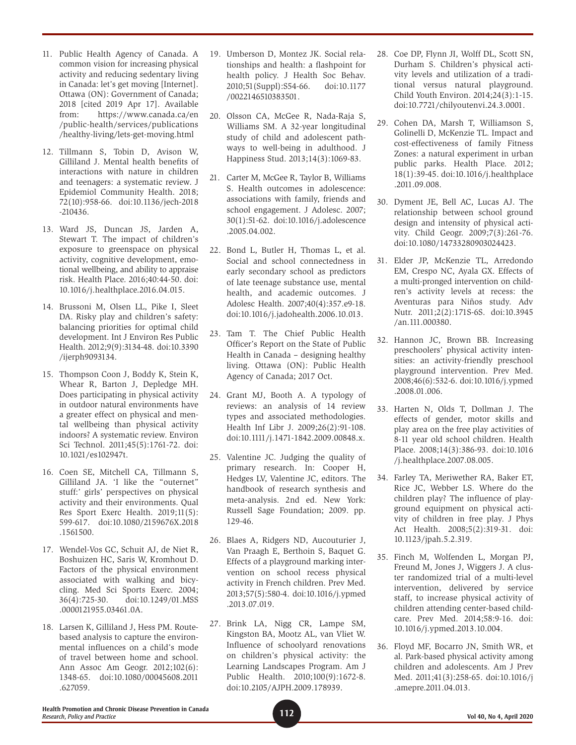- 11. Public Health Agency of Canada. A common vision for increasing physical activity and reducing sedentary living in Canada: let's get moving [Internet]. Ottawa (ON): Government of Canada; 2018 [cited 2019 Apr 17]. Available from: https://www.canada.ca/en /public-health/services/publications /healthy-living/lets-get-moving.html
- 12. Tillmann S, Tobin D, Avison W, Gilliland J. Mental health benefits of interactions with nature in children and teenagers: a systematic review. J Epidemiol Community Health. 2018; 72(10):958-66. doi:10.1136/jech-2018 -210436.
- 13. Ward JS, Duncan JS, Jarden A, Stewart T. The impact of children's exposure to greenspace on physical activity, cognitive development, emotional wellbeing, and ability to appraise risk. Health Place. 2016;40:44-50. doi: 10.1016/j.healthplace.2016.04.015.
- 14. Brussoni M, Olsen LL, Pike I, Sleet DA. Risky play and children's safety: balancing priorities for optimal child development. Int J Environ Res Public Health. 2012;9(9):3134-48. doi:10.3390 /ijerph9093134.
- 15. Thompson Coon J, Boddy K, Stein K, Whear R, Barton J, Depledge MH. Does participating in physical activity in outdoor natural environments have a greater effect on physical and mental wellbeing than physical activity indoors? A systematic review. Environ Sci Technol. 2011;45(5):1761-72. doi: 10.1021/es102947t.
- 16. Coen SE, Mitchell CA, Tillmann S, Gilliland JA. 'I like the "outernet" stuff:' girls' perspectives on physical activity and their environments. Qual Res Sport Exerc Health. 2019;11(5): 599-617. doi:10.1080/2159676X.2018 .1561500.
- 17. Wendel-Vos GC, Schuit AJ, de Niet R, Boshuizen HC, Saris W, Kromhout D. Factors of the physical environment associated with walking and bicycling. Med Sci Sports Exerc. 2004; 36(4):725-30. doi:10.1249/01.MSS .0000121955.03461.0A.
- 18. Larsen K, Gilliland J, Hess PM. Routebased analysis to capture the environmental influences on a child's mode of travel between home and school. Ann Assoc Am Geogr. 2012;102(6): 1348-65. doi:10.1080/00045608.2011 .627059.
- 19. Umberson D, Montez JK. Social relationships and health: a flashpoint for health policy. J Health Soc Behav. 2010;51(Suppl):S54-66. doi:10.1177 /0022146510383501.
- 20. Olsson CA, McGee R, Nada-Raja S, Williams SM. A 32-year longitudinal study of child and adolescent pathways to well-being in adulthood. J Happiness Stud. 2013;14(3):1069-83.
- 21. Carter M, McGee R, Taylor B, Williams S. Health outcomes in adolescence: associations with family, friends and school engagement. J Adolesc. 2007; 30(1):51-62. doi:10.1016/j.adolescence .2005.04.002.
- 22. Bond L, Butler H, Thomas L, et al. Social and school connectedness in early secondary school as predictors of late teenage substance use, mental health, and academic outcomes. J Adolesc Health. 2007;40(4):357.e9-18. doi:10.1016/j.jadohealth.2006.10.013.
- 23. Tam T. The Chief Public Health Officer's Report on the State of Public Health in Canada – designing healthy living. Ottawa (ON): Public Health Agency of Canada; 2017 Oct.
- 24. Grant MJ, Booth A. A typology of reviews: an analysis of 14 review types and associated methodologies. Health Inf Libr J. 2009;26(2):91-108. doi:10.1111/j.1471-1842.2009.00848.x.
- 25. Valentine JC. Judging the quality of primary research. In: Cooper H, Hedges LV, Valentine JC, editors. The handbook of research synthesis and meta-analysis. 2nd ed. New York: Russell Sage Foundation; 2009. pp. 129-46.
- 26. Blaes A, Ridgers ND, Aucouturier J, Van Praagh E, Berthoin S, Baquet G. Effects of a playground marking intervention on school recess physical activity in French children. Prev Med. 2013;57(5):580-4. doi:10.1016/j.ypmed .2013.07.019.
- 27. Brink LA, Nigg CR, Lampe SM, Kingston BA, Mootz AL, van Vliet W. Influence of schoolyard renovations on children's physical activity: the Learning Landscapes Program. Am J Public Health. 2010;100(9):1672-8. doi:10.2105/AJPH.2009.178939.
- 28. Coe DP, Flynn JI, Wolff DL, Scott SN, Durham S. Children's physical activity levels and utilization of a traditional versus natural playground. Child Youth Environ. 2014;24(3):1-15. doi:10.7721/chilyoutenvi.24.3.0001.
- 29. Cohen DA, Marsh T, Williamson S, Golinelli D, McKenzie TL. Impact and cost-effectiveness of family Fitness Zones: a natural experiment in urban public parks. Health Place. 2012; 18(1):39-45. doi:10.1016/j.healthplace .2011.09.008.
- 30. Dyment JE, Bell AC, Lucas AJ. The relationship between school ground design and intensity of physical activity. Child Geogr. 2009;7(3):261-76. doi:10.1080/14733280903024423.
- 31. Elder JP, McKenzie TL, Arredondo EM, Crespo NC, Ayala GX. Effects of a multi-pronged intervention on children's activity levels at recess: the Aventuras para Niños study. Adv Nutr. 2011;2(2):171S-6S. doi:10.3945 /an.111.000380.
- 32. Hannon JC, Brown BB. Increasing preschoolers' physical activity intensities: an activity-friendly preschool playground intervention. Prev Med. 2008;46(6):532-6. doi:10.1016/j.ypmed .2008.01.006.
- 33. Harten N, Olds T, Dollman J. The effects of gender, motor skills and play area on the free play activities of 8-11 year old school children. Health Place. 2008;14(3):386-93. doi:10.1016 /j.healthplace.2007.08.005.
- 34. Farley TA, Meriwether RA, Baker ET, Rice JC, Webber LS. Where do the children play? The influence of playground equipment on physical activity of children in free play. J Phys Act Health. 2008;5(2):319-31. doi: 10.1123/jpah.5.2.319.
- 35. Finch M, Wolfenden L, Morgan PJ, Freund M, Jones J, Wiggers J. A cluster randomized trial of a multi-level intervention, delivered by service staff, to increase physical activity of children attending center-based childcare. Prev Med. 2014;58:9-16. doi: 10.1016/j.ypmed.2013.10.004.
- 36. Floyd MF, Bocarro JN, Smith WR, et al. Park-based physical activity among children and adolescents. Am J Prev Med. 2011;41(3):258-65. doi:10.1016/j .amepre.2011.04.013.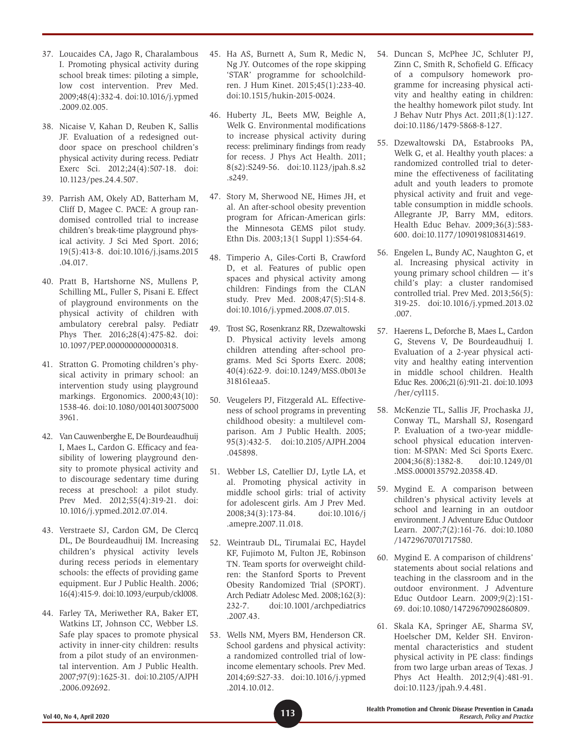- 37. Loucaides CA, Jago R, Charalambous I. Promoting physical activity during school break times: piloting a simple, low cost intervention. Prev Med. 2009;48(4):332-4. doi:10.1016/j.ypmed .2009.02.005.
- 38. Nicaise V, Kahan D, Reuben K, Sallis JF. Evaluation of a redesigned outdoor space on preschool children's physical activity during recess. Pediatr Exerc Sci. 2012;24(4):507-18. doi: 10.1123/pes.24.4.507.
- 39. Parrish AM, Okely AD, Batterham M, Cliff D, Magee C. PACE: A group randomised controlled trial to increase children's break-time playground physical activity. J Sci Med Sport. 2016; 19(5):413-8. doi:10.1016/j.jsams.2015 .04.017.
- 40. Pratt B, Hartshorne NS, Mullens P, Schilling ML, Fuller S, Pisani E. Effect of playground environments on the physical activity of children with ambulatory cerebral palsy. Pediatr Phys Ther. 2016;28(4):475-82. doi: 10.1097/PEP.0000000000000318.
- 41. Stratton G. Promoting children's physical activity in primary school: an intervention study using playground markings. Ergonomics. 2000;43(10): 1538-46. doi:10.1080/00140130075000 3961.
- 42. Van Cauwenberghe E, De Bourdeaudhuij I, Maes L, Cardon G. Efficacy and feasibility of lowering playground density to promote physical activity and to discourage sedentary time during recess at preschool: a pilot study. Prev Med. 2012;55(4):319-21. doi: 10.1016/j.ypmed.2012.07.014.
- 43. Verstraete SJ, Cardon GM, De Clercq DL, De Bourdeaudhuij IM. Increasing children's physical activity levels during recess periods in elementary schools: the effects of providing game equipment. Eur J Public Health. 2006; 16(4):415-9. doi:10.1093/eurpub/ckl008.
- 44. Farley TA, Meriwether RA, Baker ET, Watkins LT, Johnson CC, Webber LS. Safe play spaces to promote physical activity in inner-city children: results from a pilot study of an environmental intervention. Am J Public Health. 2007;97(9):1625-31. doi:10.2105/AJPH .2006.092692.
- 45. Ha AS, Burnett A, Sum R, Medic N, Ng JY. Outcomes of the rope skipping 'STAR' programme for schoolchildren. J Hum Kinet. 2015;45(1):233-40. doi:10.1515/hukin-2015-0024.
- 46. Huberty JL, Beets MW, Beighle A, Welk G. Environmental modifications to increase physical activity during recess: preliminary findings from ready for recess. J Phys Act Health. 2011; 8(s2):S249-56. doi:10.1123/jpah.8.s2 .s249.
- 47. Story M, Sherwood NE, Himes JH, et al. An after-school obesity prevention program for African-American girls: the Minnesota GEMS pilot study. Ethn Dis. 2003;13(1 Suppl 1):S54-64.
- 48. Timperio A, Giles-Corti B, Crawford D, et al. Features of public open spaces and physical activity among children: Findings from the CLAN study. Prev Med. 2008;47(5):514-8. doi:10.1016/j.ypmed.2008.07.015.
- 49. Trost SG, Rosenkranz RR, Dzewaltowski D. Physical activity levels among children attending after-school programs. Med Sci Sports Exerc. 2008; 40(4):622-9. doi:10.1249/MSS.0b013e 318161eaa5.
- 50. Veugelers PJ, Fitzgerald AL. Effectiveness of school programs in preventing childhood obesity: a multilevel comparison. Am J Public Health. 2005; 95(3):432-5. doi:10.2105/AJPH.2004 .045898.
- 51. Webber LS, Catellier DJ, Lytle LA, et al. Promoting physical activity in middle school girls: trial of activity for adolescent girls. Am J Prev Med. 2008;34(3):173-84. doi:10.1016/j .amepre.2007.11.018.
- 52. Weintraub DL, Tirumalai EC, Haydel KF, Fujimoto M, Fulton JE, Robinson TN. Team sports for overweight children: the Stanford Sports to Prevent Obesity Randomized Trial (SPORT). Arch Pediatr Adolesc Med. 2008;162(3): 232-7. doi:10.1001/archpediatrics .2007.43.
- 53. Wells NM, Myers BM, Henderson CR. School gardens and physical activity: a randomized controlled trial of lowincome elementary schools. Prev Med. 2014;69:S27-33. doi:10.1016/j.ypmed .2014.10.012.
- 54. Duncan S, McPhee JC, Schluter PJ, Zinn C, Smith R, Schofield G. Efficacy of a compulsory homework programme for increasing physical activity and healthy eating in children: the healthy homework pilot study. Int J Behav Nutr Phys Act. 2011;8(1):127. doi:10.1186/1479-5868-8-127.
- 55. Dzewaltowski DA, Estabrooks PA, Welk G, et al. Healthy youth places: a randomized controlled trial to determine the effectiveness of facilitating adult and youth leaders to promote physical activity and fruit and vegetable consumption in middle schools. Allegrante JP, Barry MM, editors. Health Educ Behav. 2009;36(3):583- 600. doi:10.1177/1090198108314619.
- 56. Engelen L, Bundy AC, Naughton G, et al. Increasing physical activity in young primary school children — it's child's play: a cluster randomised controlled trial. Prev Med. 2013;56(5): 319-25. doi:10.1016/j.ypmed.2013.02 .007.
- 57. Haerens L, Deforche B, Maes L, Cardon G, Stevens V, De Bourdeaudhuij I. Evaluation of a 2-year physical activity and healthy eating intervention in middle school children. Health Educ Res. 2006;21(6):911-21. doi:10.1093 /her/cyl115.
- 58. McKenzie TL, Sallis JF, Prochaska JJ, Conway TL, Marshall SJ, Rosengard P. Evaluation of a two-year middleschool physical education intervention: M-SPAN: Med Sci Sports Exerc. 2004;36(8):1382-8. doi:10.1249/01 .MSS.0000135792.20358.4D.
- 59. Mygind E. A comparison between children's physical activity levels at school and learning in an outdoor environment. J Adventure Educ Outdoor Learn. 2007;7(2):161-76. doi:10.1080 /14729670701717580.
- 60. Mygind E. A comparison of childrens' statements about social relations and teaching in the classroom and in the outdoor environment. J Adventure Educ Outdoor Learn. 2009;9(2):151- 69. doi:10.1080/14729670902860809.
- 61. Skala KA, Springer AE, Sharma SV, Hoelscher DM, Kelder SH. Environmental characteristics and student physical activity in PE class: findings from two large urban areas of Texas. J Phys Act Health. 2012;9(4):481-91. doi:10.1123/jpah.9.4.481.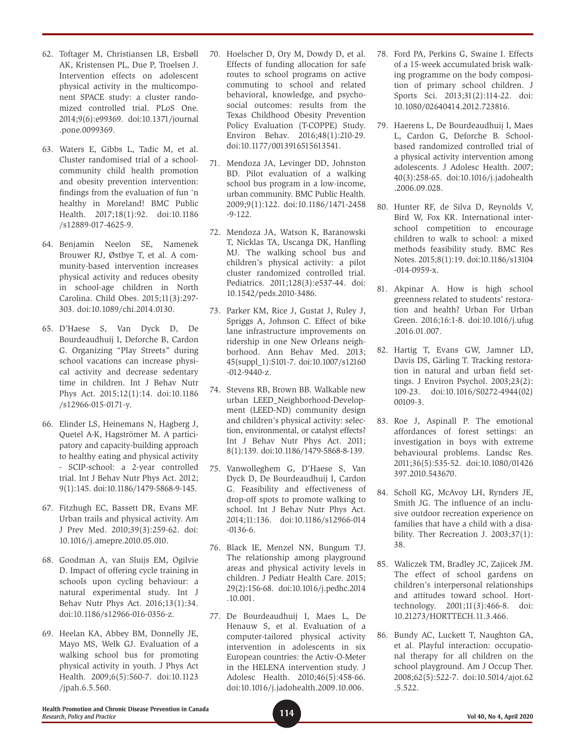- 62. Toftager M, Christiansen LB, Ersbøll AK, Kristensen PL, Due P, Troelsen J. Intervention effects on adolescent physical activity in the multicomponent SPACE study: a cluster randomized controlled trial. PLoS One. 2014;9(6):e99369. doi:10.1371/journal .pone.0099369.
- 63. Waters E, Gibbs L, Tadic M, et al. Cluster randomised trial of a schoolcommunity child health promotion and obesity prevention intervention: findings from the evaluation of fun 'n healthy in Moreland! BMC Public Health. 2017;18(1):92. doi:10.1186 /s12889-017-4625-9.
- 64. Benjamin Neelon SE, Namenek Brouwer RJ, Østbye T, et al. A community-based intervention increases physical activity and reduces obesity in school-age children in North Carolina. Child Obes. 2015;11(3):297- 303. doi:10.1089/chi.2014.0130.
- 65. D'Haese S, Van Dyck D, De Bourdeaudhuij I, Deforche B, Cardon G. Organizing "Play Streets" during school vacations can increase physical activity and decrease sedentary time in children. Int J Behav Nutr Phys Act. 2015;12(1):14. doi:10.1186 /s12966-015-0171-y.
- 66. Elinder LS, Heinemans N, Hagberg J, Quetel A-K, Hagströmer M. A participatory and capacity-building approach to healthy eating and physical activity - SCIP-school: a 2-year controlled trial. Int J Behav Nutr Phys Act. 2012; 9(1):145. doi:10.1186/1479-5868-9-145.
- 67. Fitzhugh EC, Bassett DR, Evans MF. Urban trails and physical activity. Am J Prev Med. 2010;39(3):259-62. doi: 10.1016/j.amepre.2010.05.010.
- 68. Goodman A, van Sluijs EM, Ogilvie D. Impact of offering cycle training in schools upon cycling behaviour: a natural experimental study. Int J Behav Nutr Phys Act. 2016;13(1):34. doi:10.1186/s12966-016-0356-z.
- 69. Heelan KA, Abbey BM, Donnelly JE, Mayo MS, Welk GJ. Evaluation of a walking school bus for promoting physical activity in youth. J Phys Act Health. 2009;6(5):560-7. doi:10.1123 /jpah.6.5.560.
- 70. Hoelscher D, Ory M, Dowdy D, et al. Effects of funding allocation for safe routes to school programs on active commuting to school and related behavioral, knowledge, and psychosocial outcomes: results from the Texas Childhood Obesity Prevention Policy Evaluation (T-COPPE) Study. Environ Behav. 2016;48(1):210-29. doi:10.1177/0013916515613541.
- 71. Mendoza JA, Levinger DD, Johnston BD. Pilot evaluation of a walking school bus program in a low-income, urban community. BMC Public Health. 2009;9(1):122. doi:10.1186/1471-2458 -9-122.
- 72. Mendoza JA, Watson K, Baranowski T, Nicklas TA, Uscanga DK, Hanfling MJ. The walking school bus and children's physical activity: a pilot cluster randomized controlled trial. Pediatrics. 2011;128(3):e537-44. doi: 10.1542/peds.2010-3486.
- 73. Parker KM, Rice J, Gustat J, Ruley J, Spriggs A, Johnson C. Effect of bike lane infrastructure improvements on ridership in one New Orleans neighborhood. Ann Behav Med. 2013; 45(suppl\_1):S101-7. doi:10.1007/s12160 -012-9440-z.
- 74. Stevens RB, Brown BB. Walkable new urban LEED\_Neighborhood-Development (LEED-ND) community design and children's physical activity: selection, environmental, or catalyst effects? Int J Behav Nutr Phys Act. 2011; 8(1):139. doi:10.1186/1479-5868-8-139.
- 75. Vanwolleghem G, D'Haese S, Van Dyck D, De Bourdeaudhuij I, Cardon G. Feasibility and effectiveness of drop-off spots to promote walking to school. Int J Behav Nutr Phys Act. 2014;11:136. doi:10.1186/s12966-014 -0136-6.
- 76. Black IE, Menzel NN, Bungum TJ. The relationship among playground areas and physical activity levels in children. J Pediatr Health Care. 2015; 29(2):156-68. doi:10.1016/j.pedhc.2014 .10.001.
- 77. De Bourdeaudhuij I, Maes L, De Henauw S, et al. Evaluation of a computer-tailored physical activity intervention in adolescents in six European countries: the Activ-O-Meter in the HELENA intervention study. J Adolesc Health. 2010;46(5):458-66. doi:10.1016/j.jadohealth.2009.10.006.
- 78. Ford PA, Perkins G, Swaine I. Effects of a 15-week accumulated brisk walking programme on the body composition of primary school children. J Sports Sci. 2013;31(2):114-22. doi: 10.1080/02640414.2012.723816.
- 79. Haerens L, De Bourdeaudhuij I, Maes L, Cardon G, Deforche B. Schoolbased randomized controlled trial of a physical activity intervention among adolescents. J Adolesc Health. 2007; 40(3):258-65. doi:10.1016/j.jadohealth .2006.09.028.
- 80. Hunter RF, de Silva D, Reynolds V, Bird W, Fox KR. International interschool competition to encourage children to walk to school: a mixed methods feasibility study. BMC Res Notes. 2015;8(1):19. doi:10.1186/s13104 -014-0959-x.
- 81. Akpinar A. How is high school greenness related to students' restoration and health? Urban For Urban Green. 2016;16:1-8. doi:10.1016/j.ufug .2016.01.007.
- 82. Hartig T, Evans GW, Jamner LD, Davis DS, Gärling T. Tracking restoration in natural and urban field settings. J Environ Psychol. 2003;23(2): 109-23. doi:10.1016/S0272-4944(02) 00109-3.
- 83. Roe J, Aspinall P. The emotional affordances of forest settings: an investigation in boys with extreme behavioural problems. Landsc Res. 2011;36(5):535-52. doi:10.1080/01426 397.2010.543670.
- 84. Scholl KG, McAvoy LH, Rynders JE, Smith JG. The influence of an inclusive outdoor recreation experience on families that have a child with a disability. Ther Recreation J. 2003;37(1): 38.
- 85. Waliczek TM, Bradley JC, Zajicek JM. The effect of school gardens on children's interpersonal relationships and attitudes toward school. Horttechnology. 2001;11(3):466-8. doi: 10.21273/HORTTECH.11.3.466.
- 86. Bundy AC, Luckett T, Naughton GA, et al. Playful interaction: occupational therapy for all children on the school playground. Am J Occup Ther. 2008;62(5):522-7. doi:10.5014/ajot.62 .5.522.